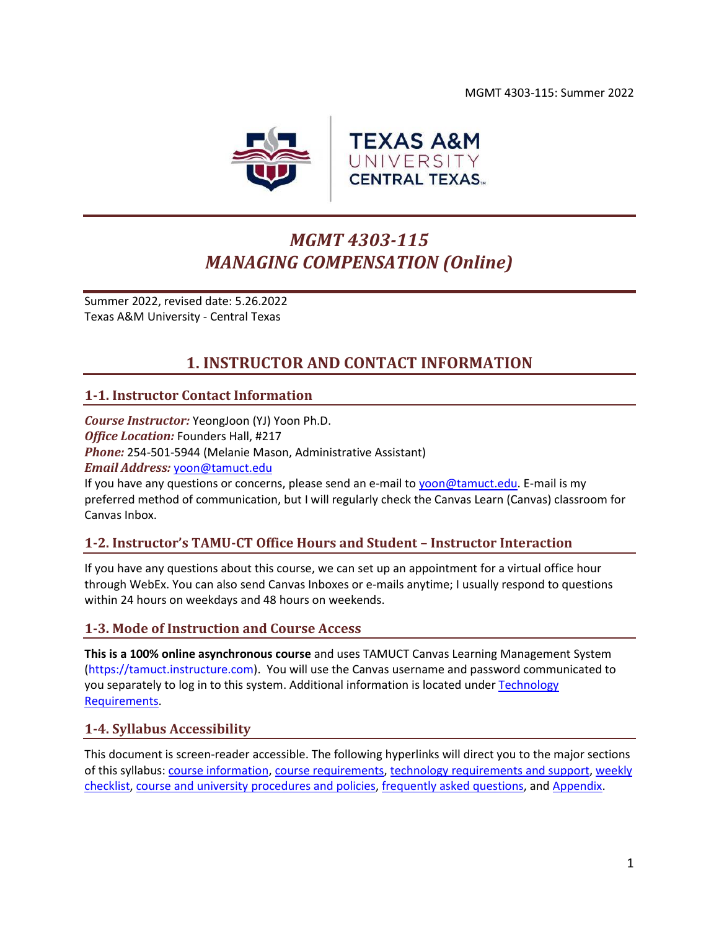MGMT 4303-115: Summer 2022



# *MGMT 4303-115 MANAGING COMPENSATION (Online)*

Summer 2022, revised date: 5.26.2022 Texas A&M University - Central Texas

## **1. INSTRUCTOR AND CONTACT INFORMATION**

## <span id="page-0-0"></span>**1-1. Instructor Contact Information**

*Course Instructor:* YeongJoon (YJ) Yoon Ph.D. *Office Location:* Founders Hall, #217 *Phone:* 254-501-5944 (Melanie Mason, Administrative Assistant) *Email Address:* [yoon@tamuct.edu](mailto:yoon@tamuct.edu)

If you have any questions or concerns, please send an e-mail to [yoon@tamuct.edu.](mailto:yoon@tamuct.edu) E-mail is my preferred method of communication, but I will regularly check the Canvas Learn (Canvas) classroom for Canvas Inbox.

## **1-2. Instructor's TAMU-CT Office Hours and Student – Instructor Interaction**

If you have any questions about this course, we can set up an appointment for a virtual office hour through WebEx. You can also send Canvas Inboxes or e-mails anytime; I usually respond to questions within 24 hours on weekdays and 48 hours on weekends.

## **1-3. Mode of Instruction and Course Access**

**This is a 100% online asynchronous course** and uses TAMUCT Canvas Learning Management System (https://tamuct.instructure.com). You will use the Canvas username and password communicated to you separately to log in to this system. Additional information is located unde[r Technology](#page-6-0)  [Requirements.](#page-6-0)

## **1-4. Syllabus Accessibility**

This document is screen-reader accessible. The following hyperlinks will direct you to the major sections of this syllabus: course [information,](#page-1-0) [course requirements,](#page-2-0) [technology requirements and support,](#page-6-1) [weekly](#page-7-0)  [checklist,](#page-7-0) [course and university procedures and policies,](#page-16-0) [frequently asked questions,](#page-18-0) an[d Appendix.](#page-21-0)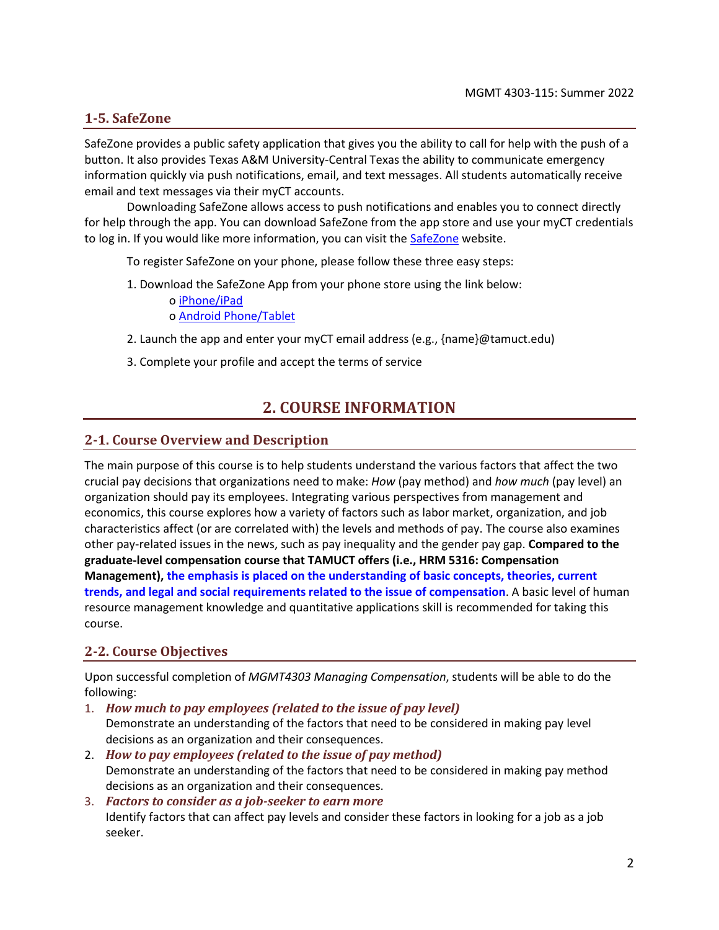## **1-5. SafeZone**

<span id="page-1-0"></span>SafeZone provides a public safety application that gives you the ability to call for help with the push of a button. It also provides Texas A&M University-Central Texas the ability to communicate emergency information quickly via push notifications, email, and text messages. All students automatically receive email and text messages via their myCT accounts.

Downloading SafeZone allows access to push notifications and enables you to connect directly for help through the app. You can download SafeZone from the app store and use your myCT credentials to log in. If you would like more information, you can visit the **SafeZone** website.

To register SafeZone on your phone, please follow these three easy steps:

1. Download the SafeZone App from your phone store using the link below: o [iPhone/iPad](https://apps.apple.com/app/safezone/id533054756)

o [Android Phone/Tablet](https://play.google.com/store/apps/details?id=com.criticalarc.safezoneapp)

- 2. Launch the app and enter your myCT email address (e.g., {name}@tamuct.edu)
- 3. Complete your profile and accept the terms of service

## **2. COURSE INFORMATION**

## **2-1. Course Overview and Description**

The main purpose of this course is to help students understand the various factors that affect the two crucial pay decisions that organizations need to make: *How* (pay method) and *how much* (pay level) an organization should pay its employees. Integrating various perspectives from management and economics, this course explores how a variety of factors such as labor market, organization, and job characteristics affect (or are correlated with) the levels and methods of pay. The course also examines other pay-related issues in the news, such as pay inequality and the gender pay gap. **Compared to the graduate-level compensation course that TAMUCT offers (i.e., HRM 5316: Compensation Management), the emphasis is placed on the understanding of basic concepts, theories, current trends, and legal and social requirements related to the issue of compensation**. A basic level of human resource management knowledge and quantitative applications skill is recommended for taking this course.

## **2-2. Course Objectives**

Upon successful completion of *MGMT4303 Managing Compensation*, students will be able to do the following:

- 1. *How much to pay employees (related to the issue of pay level)* Demonstrate an understanding of the factors that need to be considered in making pay level decisions as an organization and their consequences.
- 2. *How to pay employees (related to the issue of pay method)* Demonstrate an understanding of the factors that need to be considered in making pay method decisions as an organization and their consequences.
- 3. *Factors to consider as a job-seeker to earn more* Identify factors that can affect pay levels and consider these factors in looking for a job as a job seeker.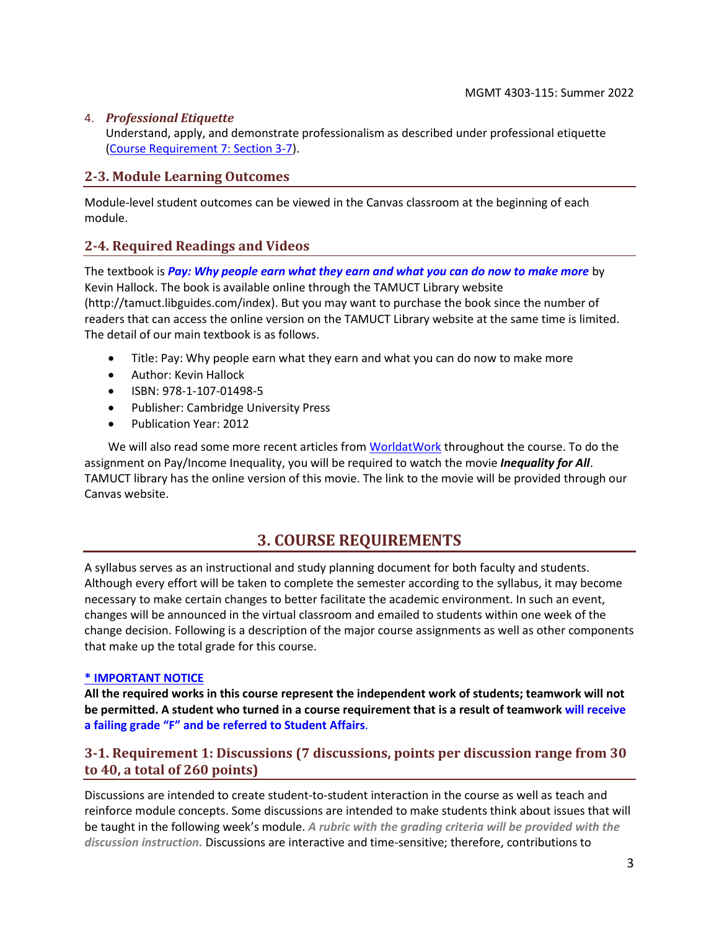## 4. *Professional Etiquette*

Understand, apply, and demonstrate professionalism as described under professional etiquette [\(Course Requirement 7: Section 3-7\)](#page-4-0).

## **2-3. Module Learning Outcomes**

Module-level student outcomes can be viewed in the Canvas classroom at the beginning of each module.

## **2-4. Required Readings and Videos**

The textbook is *Pay: Why people earn what they earn and what you can do now to make more* by Kevin Hallock. The book is available online through the TAMUCT Library website (http://tamuct.libguides.com/index). But you may want to purchase the book since the number of readers that can access the online version on the TAMUCT Library website at the same time is limited. The detail of our main textbook is as follows.

- Title: Pay: Why people earn what they earn and what you can do now to make more
- Author: Kevin Hallock
- ISBN: 978-1-107-01498-5
- Publisher: Cambridge University Press
- Publication Year: 2012

We will also read some more recent articles fro[m WorldatWork](https://worldatwork.org/) throughout the course. To do the assignment on Pay/Income Inequality, you will be required to watch the movie *Inequality for All*. TAMUCT library has the online version of this movie. The link to the movie will be provided through our Canvas website.

## **3. COURSE REQUIREMENTS**

<span id="page-2-0"></span>A syllabus serves as an instructional and study planning document for both faculty and students. Although every effort will be taken to complete the semester according to the syllabus, it may become necessary to make certain changes to better facilitate the academic environment. In such an event, changes will be announced in the virtual classroom and emailed to students within one week of the change decision. Following is a description of the major course assignments as well as other components that make up the total grade for this course.

#### **\* IMPORTANT NOTICE**

**All the required works in this course represent the independent work of students; teamwork will not be permitted. A student who turned in a course requirement that is a result of teamwork will receive a failing grade "F" and be referred to Student Affairs**.

## **3-1. Requirement 1: Discussions (7 discussions, points per discussion range from 30 to 40, a total of 260 points)**

Discussions are intended to create student-to-student interaction in the course as well as teach and reinforce module concepts. Some discussions are intended to make students think about issues that will be taught in the following week's module. *A rubric with the grading criteria will be provided with the discussion instruction.* Discussions are interactive and time-sensitive; therefore, contributions to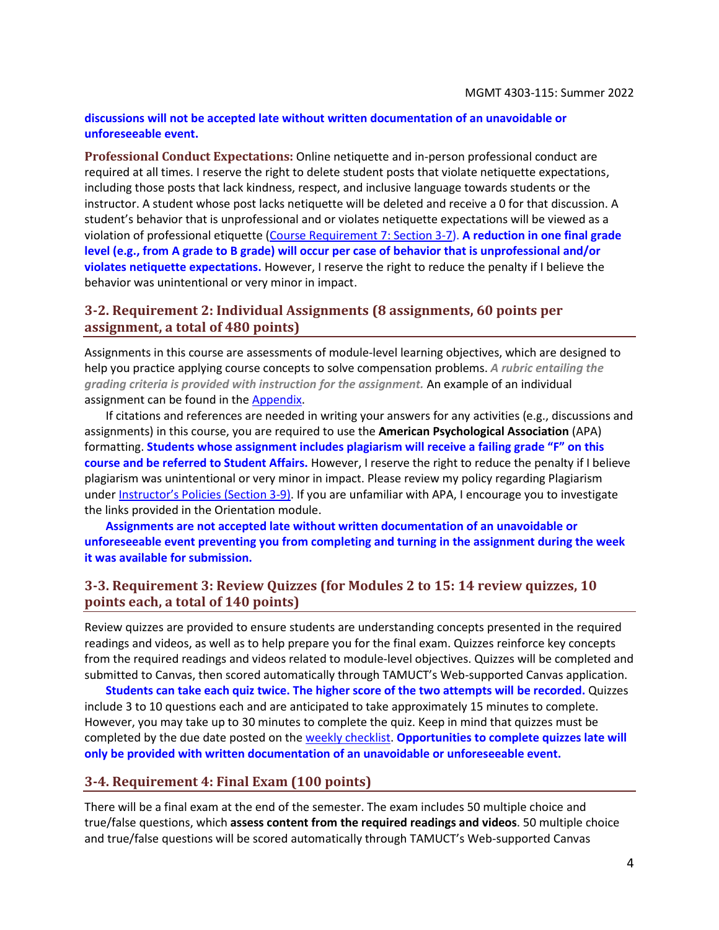#### **discussions will not be accepted late without written documentation of an unavoidable or unforeseeable event.**

**Professional Conduct Expectations:** Online netiquette and in-person professional conduct are required at all times. I reserve the right to delete student posts that violate netiquette expectations, including those posts that lack kindness, respect, and inclusive language towards students or the instructor. A student whose post lacks netiquette will be deleted and receive a 0 for that discussion. A student's behavior that is unprofessional and or violates netiquette expectations will be viewed as a violation of professional etiquette [\(Course Requirement 7: Section 3-7\)](#page-4-0). **A reduction in one final grade level (e.g., from A grade to B grade) will occur per case of behavior that is unprofessional and/or violates netiquette expectations.** However, I reserve the right to reduce the penalty if I believe the behavior was unintentional or very minor in impact.

## **3-2. Requirement 2: Individual Assignments (8 assignments, 60 points per assignment, a total of 480 points)**

Assignments in this course are assessments of module-level learning objectives, which are designed to help you practice applying course concepts to solve compensation problems. *A rubric entailing the grading criteria is provided with instruction for the assignment.* An example of an individual assignment can be found in the [Appendix.](#page-21-0)

If citations and references are needed in writing your answers for any activities (e.g., discussions and assignments) in this course, you are required to use the **American Psychological Association** (APA) formatting. **Students whose assignment includes plagiarism will receive a failing grade "F" on this course and be referred to Student Affairs.** However, I reserve the right to reduce the penalty if I believe plagiarism was unintentional or very minor in impact. Please review my policy regarding Plagiarism under Instructor's Policies [\(Section 3-9\).](#page-4-1) If you are unfamiliar with APA, I encourage you to investigate the links provided in the Orientation module.

**Assignments are not accepted late without written documentation of an unavoidable or unforeseeable event preventing you from completing and turning in the assignment during the week it was available for submission.**

## **3-3. Requirement 3: Review Quizzes (for Modules 2 to 15: 14 review quizzes, 10 points each, a total of 140 points)**

Review quizzes are provided to ensure students are understanding concepts presented in the required readings and videos, as well as to help prepare you for the final exam. Quizzes reinforce key concepts from the required readings and videos related to module-level objectives. Quizzes will be completed and submitted to Canvas, then scored automatically through TAMUCT's Web-supported Canvas application.

**Students can take each quiz twice. The higher score of the two attempts will be recorded.** Quizzes include 3 to 10 questions each and are anticipated to take approximately 15 minutes to complete. However, you may take up to 30 minutes to complete the quiz. Keep in mind that quizzes must be completed by the due date posted on the [weekly checklist.](#page-7-0) **Opportunities to complete quizzes late will only be provided with written documentation of an unavoidable or unforeseeable event.**

## **3-4. Requirement 4: Final Exam (100 points)**

There will be a final exam at the end of the semester. The exam includes 50 multiple choice and true/false questions, which **assess content from the required readings and videos**. 50 multiple choice and true/false questions will be scored automatically through TAMUCT's Web-supported Canvas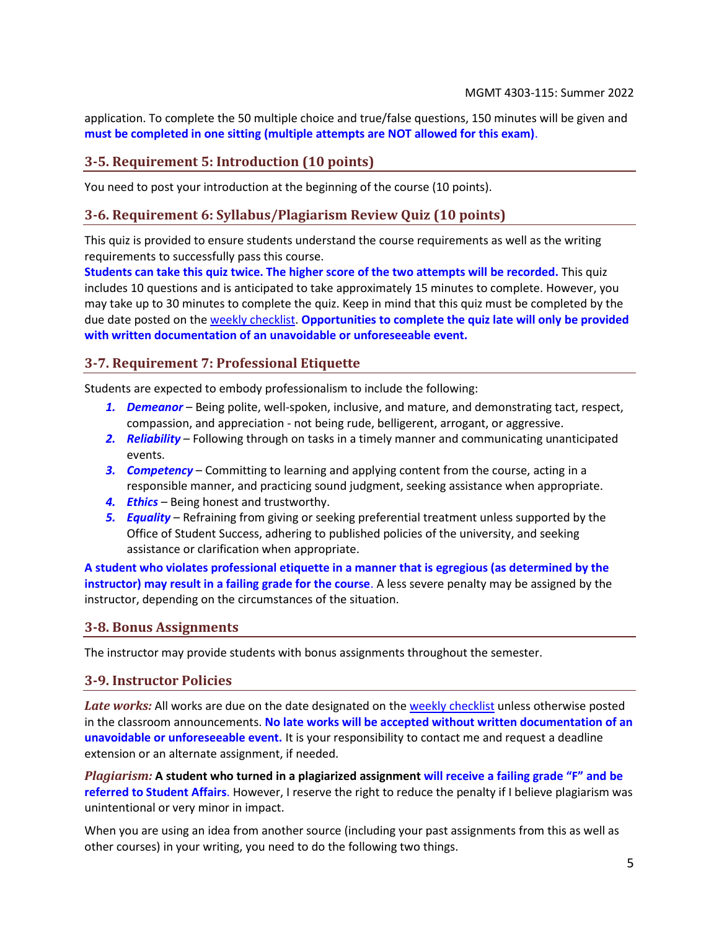application. To complete the 50 multiple choice and true/false questions, 150 minutes will be given and **must be completed in one sitting (multiple attempts are NOT allowed for this exam)**.

## **3-5. Requirement 5: Introduction (10 points)**

You need to post your introduction at the beginning of the course (10 points).

## **3-6. Requirement 6: Syllabus/Plagiarism Review Quiz (10 points)**

This quiz is provided to ensure students understand the course requirements as well as the writing requirements to successfully pass this course.

**Students can take this quiz twice. The higher score of the two attempts will be recorded.** This quiz includes 10 questions and is anticipated to take approximately 15 minutes to complete. However, you may take up to 30 minutes to complete the quiz. Keep in mind that this quiz must be completed by the due date posted on the [weekly checklist.](#page-7-0) **Opportunities to complete the quiz late will only be provided with written documentation of an unavoidable or unforeseeable event.**

## <span id="page-4-0"></span>**3-7. Requirement 7: Professional Etiquette**

Students are expected to embody professionalism to include the following:

- *1. Demeanor* Being polite, well-spoken, inclusive, and mature, and demonstrating tact, respect, compassion, and appreciation - not being rude, belligerent, arrogant, or aggressive.
- *2. Reliability* Following through on tasks in a timely manner and communicating unanticipated events.
- *3. Competency* Committing to learning and applying content from the course, acting in a responsible manner, and practicing sound judgment, seeking assistance when appropriate.
- *4. Ethics* Being honest and trustworthy.
- *5. Equality* Refraining from giving or seeking preferential treatment unless supported by the Office of Student Success, adhering to published policies of the university, and seeking assistance or clarification when appropriate.

**A student who violates professional etiquette in a manner that is egregious (as determined by the instructor) may result in a failing grade for the course**. A less severe penalty may be assigned by the instructor, depending on the circumstances of the situation.

#### **3-8. Bonus Assignments**

The instructor may provide students with bonus assignments throughout the semester.

## <span id="page-4-1"></span>**3-9. Instructor Policies**

Late works: All works are due on the date designated on the [weekly checklist](#page-7-0) unless otherwise posted in the classroom announcements. **No late works will be accepted without written documentation of an unavoidable or unforeseeable event.** It is your responsibility to contact me and request a deadline extension or an alternate assignment, if needed.

*Plagiarism:* **A student who turned in a plagiarized assignment will receive a failing grade "F" and be referred to Student Affairs**. However, I reserve the right to reduce the penalty if I believe plagiarism was unintentional or very minor in impact.

When you are using an idea from another source (including your past assignments from this as well as other courses) in your writing, you need to do the following two things.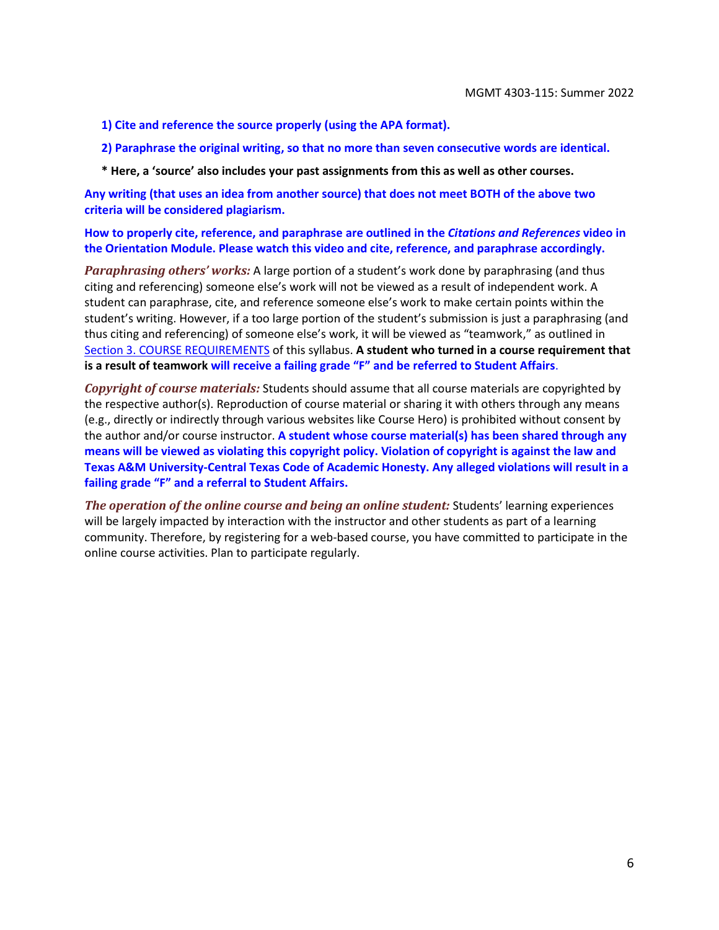**1) Cite and reference the source properly (using the APA format).**

**2) Paraphrase the original writing, so that no more than seven consecutive words are identical.**

**\* Here, a 'source' also includes your past assignments from this as well as other courses.**

**Any writing (that uses an idea from another source) that does not meet BOTH of the above two criteria will be considered plagiarism.**

#### **How to properly cite, reference, and paraphrase are outlined in the** *Citations and References* **video in the Orientation Module. Please watch this video and cite, reference, and paraphrase accordingly.**

*Paraphrasing others' works:* A large portion of a student's work done by paraphrasing (and thus citing and referencing) someone else's work will not be viewed as a result of independent work. A student can paraphrase, cite, and reference someone else's work to make certain points within the student's writing. However, if a too large portion of the student's submission is just a paraphrasing (and thus citing and referencing) of someone else's work, it will be viewed as "teamwork," as outlined in [Section 3. COURSE REQUIREMENTS](#page-2-0) of this syllabus. **A student who turned in a course requirement that is a result of teamwork will receive a failing grade "F" and be referred to Student Affairs**.

*Copyright of course materials:* Students should assume that all course materials are copyrighted by the respective author(s). Reproduction of course material or sharing it with others through any means (e.g., directly or indirectly through various websites like Course Hero) is prohibited without consent by the author and/or course instructor. **A student whose course material(s) has been shared through any means will be viewed as violating this copyright policy. Violation of copyright is against the law and Texas A&M University-Central Texas Code of Academic Honesty. Any alleged violations will result in a failing grade "F" and a referral to Student Affairs.**

*The operation of the online course and being an online student:* Students' learning experiences will be largely impacted by interaction with the instructor and other students as part of a learning community. Therefore, by registering for a web-based course, you have committed to participate in the online course activities. Plan to participate regularly.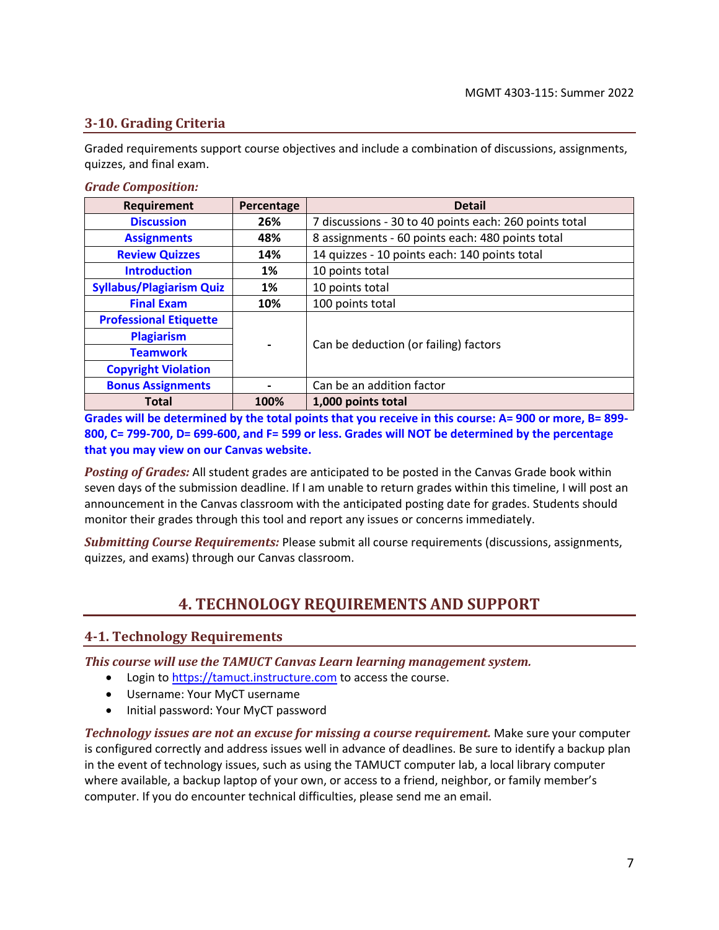## <span id="page-6-2"></span>**3-10. Grading Criteria**

Graded requirements support course objectives and include a combination of discussions, assignments, quizzes, and final exam.

#### *Grade Composition:*

| Requirement                     | Percentage | <b>Detail</b>                                          |
|---------------------------------|------------|--------------------------------------------------------|
| <b>Discussion</b>               | 26%        | 7 discussions - 30 to 40 points each: 260 points total |
| <b>Assignments</b>              | 48%        | 8 assignments - 60 points each: 480 points total       |
| <b>Review Quizzes</b>           | 14%        | 14 quizzes - 10 points each: 140 points total          |
| <b>Introduction</b>             | 1%         | 10 points total                                        |
| <b>Syllabus/Plagiarism Quiz</b> | 1%         | 10 points total                                        |
| <b>Final Exam</b>               | 10%        | 100 points total                                       |
| <b>Professional Etiquette</b>   |            |                                                        |
| <b>Plagiarism</b>               |            | Can be deduction (or failing) factors                  |
| <b>Teamwork</b>                 |            |                                                        |
| <b>Copyright Violation</b>      |            |                                                        |
| <b>Bonus Assignments</b>        |            | Can be an addition factor                              |
| <b>Total</b>                    | 100%       | 1,000 points total                                     |

**Grades will be determined by the total points that you receive in this course: A= 900 or more, B= 899- 800, C= 799-700, D= 699-600, and F= 599 or less. Grades will NOT be determined by the percentage that you may view on our Canvas website.**

*Posting of Grades:* All student grades are anticipated to be posted in the Canvas Grade book within seven days of the submission deadline. If I am unable to return grades within this timeline, I will post an announcement in the Canvas classroom with the anticipated posting date for grades. Students should monitor their grades through this tool and report any issues or concerns immediately.

<span id="page-6-1"></span>*Submitting Course Requirements:* Please submit all course requirements (discussions, assignments, quizzes, and exams) through our Canvas classroom.

## **4. TECHNOLOGY REQUIREMENTS AND SUPPORT**

## <span id="page-6-0"></span>**4-1. Technology Requirements**

*This course will use the TAMUCT Canvas Learn learning management system.*

- Login to [https://tamuct.instructure.com](https://tamuct.instructure.com/) to access the course.
- Username: Your MyCT username
- Initial password: Your MyCT password

*Technology issues are not an excuse for missing a course requirement.* Make sure your computer is configured correctly and address issues well in advance of deadlines. Be sure to identify a backup plan in the event of technology issues, such as using the TAMUCT computer lab, a local library computer where available, a backup laptop of your own, or access to a friend, neighbor, or family member's computer. If you do encounter technical difficulties, please send me an email.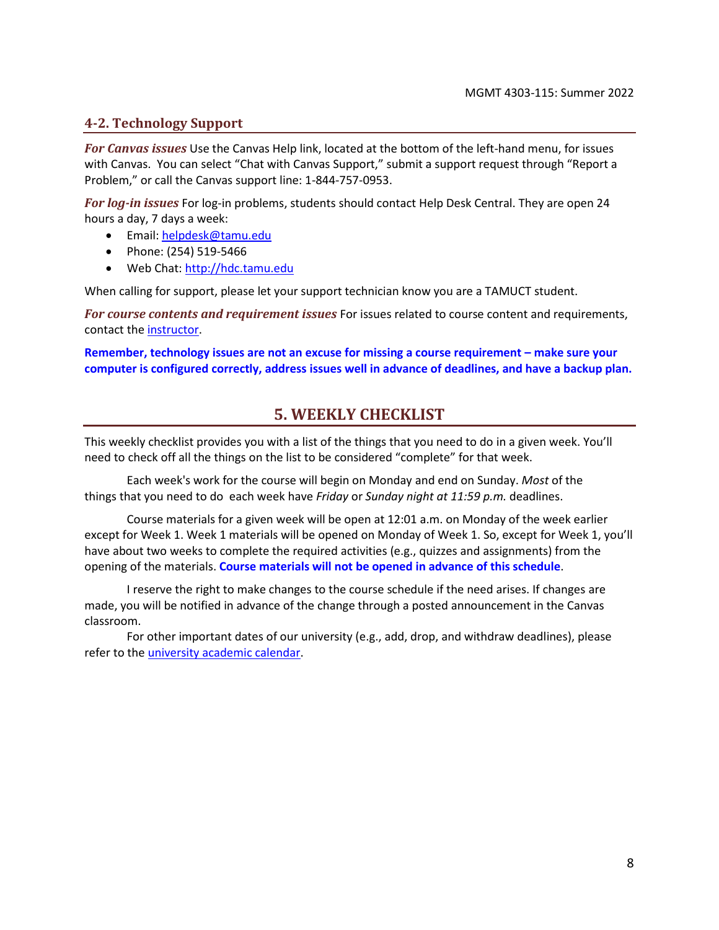## **4-2. Technology Support**

*For Canvas issues* Use the Canvas Help link, located at the bottom of the left-hand menu, for issues with Canvas. You can select "Chat with Canvas Support," submit a support request through "Report a Problem," or call the Canvas support line: 1-844-757-0953.

*For log-in issues* For log-in problems, students should contact Help Desk Central. They are open 24 hours a day, 7 days a week:

- Email: [helpdesk@tamu.edu](mailto:helpdesk@tamu.edu)
- Phone: (254) 519-5466
- Web Chat[: http://hdc.tamu.edu](http://hdc.tamu.edu/)

When calling for support, please let your support technician know you are a TAMUCT student.

*For course contents and requirement issues* For issues related to course content and requirements, contact th[e instructor.](#page-0-0)

<span id="page-7-0"></span>**Remember, technology issues are not an excuse for missing a course requirement – make sure your computer is configured correctly, address issues well in advance of deadlines, and have a backup plan.**

## **5. WEEKLY CHECKLIST**

This weekly checklist provides you with a list of the things that you need to do in a given week. You'll need to check off all the things on the list to be considered "complete" for that week.

Each week's work for the course will begin on Monday and end on Sunday. *Most* of the things that you need to do each week have *Friday* or *Sunday night at 11:59 p.m.* deadlines.

Course materials for a given week will be open at 12:01 a.m. on Monday of the week earlier except for Week 1. Week 1 materials will be opened on Monday of Week 1. So, except for Week 1, you'll have about two weeks to complete the required activities (e.g., quizzes and assignments) from the opening of the materials. **Course materials will not be opened in advance of this schedule**.

I reserve the right to make changes to the course schedule if the need arises. If changes are made, you will be notified in advance of the change through a posted announcement in the Canvas classroom.

For other important dates of our university (e.g., add, drop, and withdraw deadlines), please refer to the [university academic calendar.](https://www.tamuct.edu/registrar/academic-calendar.html)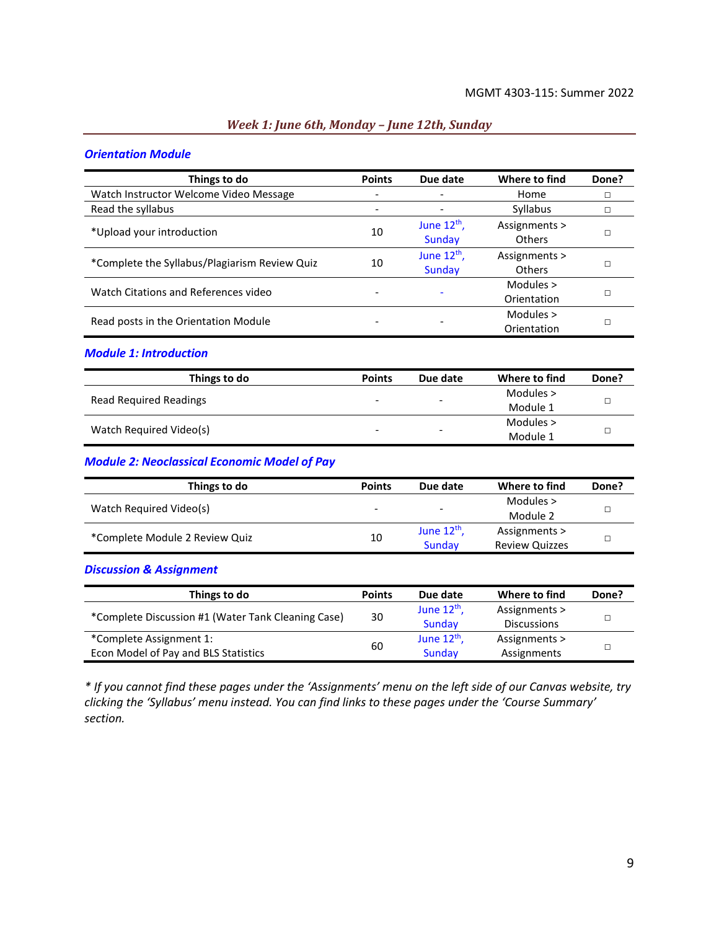#### *Week 1: June 6th, Monday – June 12th, Sunday*

#### *Orientation Module*

| Things to do                                  | <b>Points</b> | Due date                 | Where to find | Done? |
|-----------------------------------------------|---------------|--------------------------|---------------|-------|
| Watch Instructor Welcome Video Message        |               |                          | Home          |       |
| Read the syllabus                             |               | $\overline{\phantom{a}}$ | Syllabus      | □     |
| *Upload your introduction                     | 10            | June $12^{th}$ ,         | Assignments > |       |
|                                               |               | Sunday                   | Others        |       |
| *Complete the Syllabus/Plagiarism Review Quiz | 10            | June $12^{th}$ ,         | Assignments > | П     |
|                                               |               | Sunday                   | Others        |       |
|                                               |               |                          | Modules >     |       |
| Watch Citations and References video          |               |                          | Orientation   |       |
| Read posts in the Orientation Module          |               |                          | Modules >     |       |
|                                               |               |                          | Orientation   |       |

#### *Module 1: Introduction*

| Things to do                  | <b>Points</b>            | Due date                 | Where to find | Done? |
|-------------------------------|--------------------------|--------------------------|---------------|-------|
| <b>Read Required Readings</b> | $\overline{\phantom{0}}$ | $\overline{\phantom{a}}$ | Modules $>$   |       |
|                               |                          |                          | Module 1      |       |
|                               |                          |                          | Modules >     |       |
| Watch Required Video(s)       | -                        | $\overline{\phantom{0}}$ | Module 1      |       |

#### *Module 2: Neoclassical Economic Model of Pay*

| Things to do                   | <b>Points</b> | Due date                 | Where to find         | Done? |
|--------------------------------|---------------|--------------------------|-----------------------|-------|
|                                |               |                          | Modules >             |       |
| Watch Required Video(s)        | -             | $\overline{\phantom{0}}$ | Module 2              |       |
| *Complete Module 2 Review Quiz | 10            | June $12th$ ,            | Assignments >         |       |
|                                |               | Sunday                   | <b>Review Quizzes</b> |       |

#### *Discussion & Assignment*

| Things to do                                       | <b>Points</b> | Due date         | Where to find      | Done? |
|----------------------------------------------------|---------------|------------------|--------------------|-------|
|                                                    | 30            | June $12^{th}$ , | Assignments >      |       |
| *Complete Discussion #1 (Water Tank Cleaning Case) |               | Sunday           | <b>Discussions</b> |       |
| *Complete Assignment 1:                            | 60            | June $12th$ ,    | Assignments >      |       |
| Econ Model of Pay and BLS Statistics               |               | Sunday           | Assignments        |       |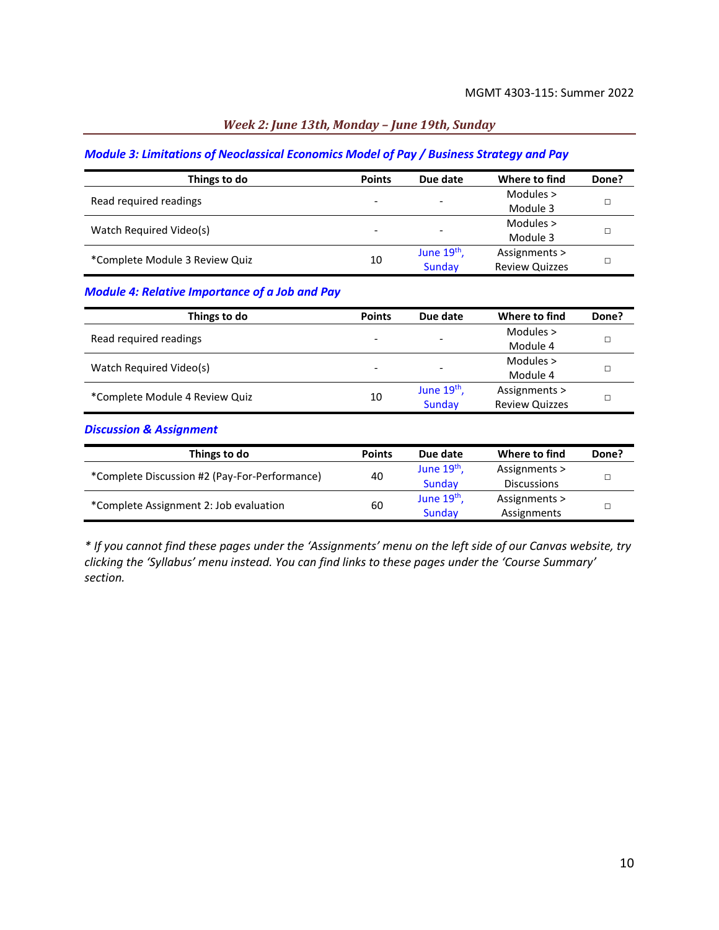## *Week 2: June 13th, Monday – June 19th, Sunday*

#### *Module 3: Limitations of Neoclassical Economics Model of Pay / Business Strategy and Pay*

| Things to do                   | <b>Points</b>            | Due date                 | Where to find         | Done? |
|--------------------------------|--------------------------|--------------------------|-----------------------|-------|
| Read required readings         |                          |                          | Modules $>$           |       |
|                                | $\overline{\phantom{0}}$ | $\overline{\phantom{0}}$ | Module 3              |       |
| Watch Required Video(s)        |                          |                          | Modules $>$           |       |
|                                | ۰                        | $\overline{\phantom{a}}$ | Module 3              |       |
| *Complete Module 3 Review Quiz | 10                       | June $19th$ ,            | Assignments >         |       |
|                                |                          | Sunday                   | <b>Review Quizzes</b> |       |

## *Module 4: Relative Importance of a Job and Pay*

| Things to do                   | <b>Points</b> | Due date      | Where to find         | Done? |
|--------------------------------|---------------|---------------|-----------------------|-------|
| Read required readings         |               |               | Modules $>$           |       |
|                                |               | -             | Module 4              |       |
|                                |               |               | Modules $>$           |       |
| Watch Required Video(s)        |               | -             | Module 4              |       |
|                                |               | June $19th$ , | Assignments >         |       |
| *Complete Module 4 Review Quiz | 10            | Sunday        | <b>Review Quizzes</b> |       |

#### *Discussion & Assignment*

| Things to do                                  | <b>Points</b> | Due date      | Where to find      | Done? |
|-----------------------------------------------|---------------|---------------|--------------------|-------|
| *Complete Discussion #2 (Pay-For-Performance) | 40            | June $19th$ , | Assignments >      |       |
|                                               |               | Sunday        | <b>Discussions</b> |       |
|                                               | 60            | June $19th$ , | Assignments >      |       |
| *Complete Assignment 2: Job evaluation        |               | Sunday        | Assignments        |       |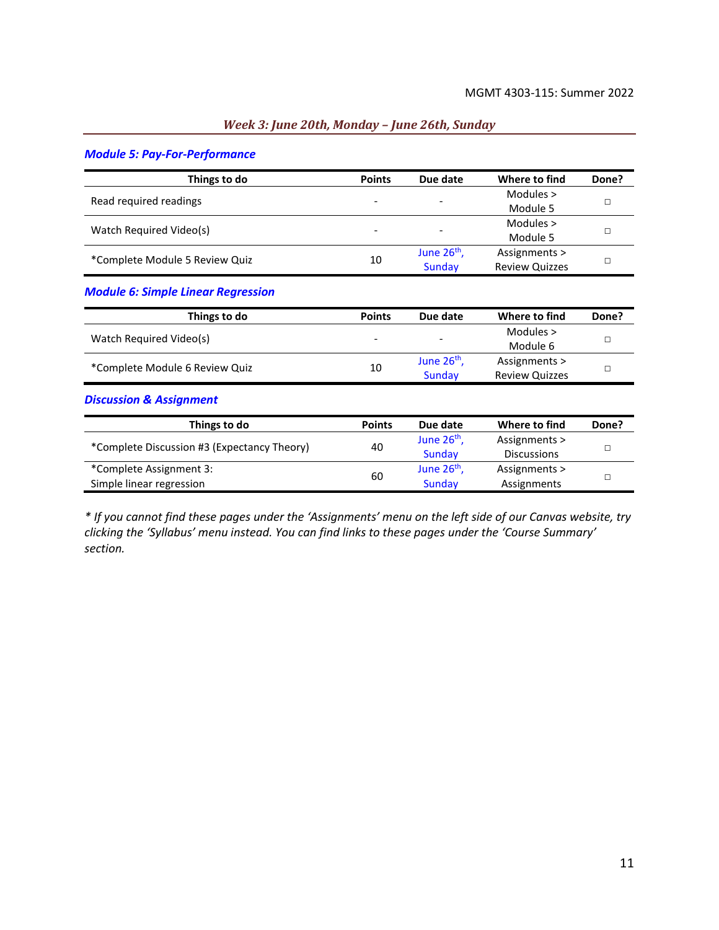#### *Week 3: June 20th, Monday – June 26th, Sunday*

#### *Module 5: Pay-For-Performance*

| Things to do                   | <b>Points</b> | Due date                 | Where to find         | Done? |
|--------------------------------|---------------|--------------------------|-----------------------|-------|
| Read required readings         | -             | $\overline{\phantom{a}}$ | Modules $>$           |       |
|                                |               |                          | Module 5              |       |
| Watch Required Video(s)        | -             | $\overline{\phantom{a}}$ | Modules >             |       |
|                                |               |                          | Module 5              |       |
| *Complete Module 5 Review Quiz | 10            | June $26th$ ,            | Assignments >         |       |
|                                |               | Sunday                   | <b>Review Quizzes</b> |       |

#### *Module 6: Simple Linear Regression*

| Things to do                   | <b>Points</b> | Due date                 | Where to find         | Done? |
|--------------------------------|---------------|--------------------------|-----------------------|-------|
|                                |               |                          | Modules >             |       |
| Watch Required Video(s)        | -             | $\overline{\phantom{a}}$ | Module 6              |       |
|                                |               | June $26th$ ,            | Assignments >         |       |
| *Complete Module 6 Review Quiz | 10            | Sunday                   | <b>Review Quizzes</b> |       |

#### *Discussion & Assignment*

| Things to do                                | <b>Points</b> | Due date                | Where to find      | Done? |
|---------------------------------------------|---------------|-------------------------|--------------------|-------|
| *Complete Discussion #3 (Expectancy Theory) |               | June 26 <sup>th</sup> , | Assignments >      |       |
|                                             | 40            | Sunday                  | <b>Discussions</b> |       |
| *Complete Assignment 3:                     | 60            | June $26th$ ,           | Assignments >      |       |
| Simple linear regression                    |               | Sunday                  | Assignments        |       |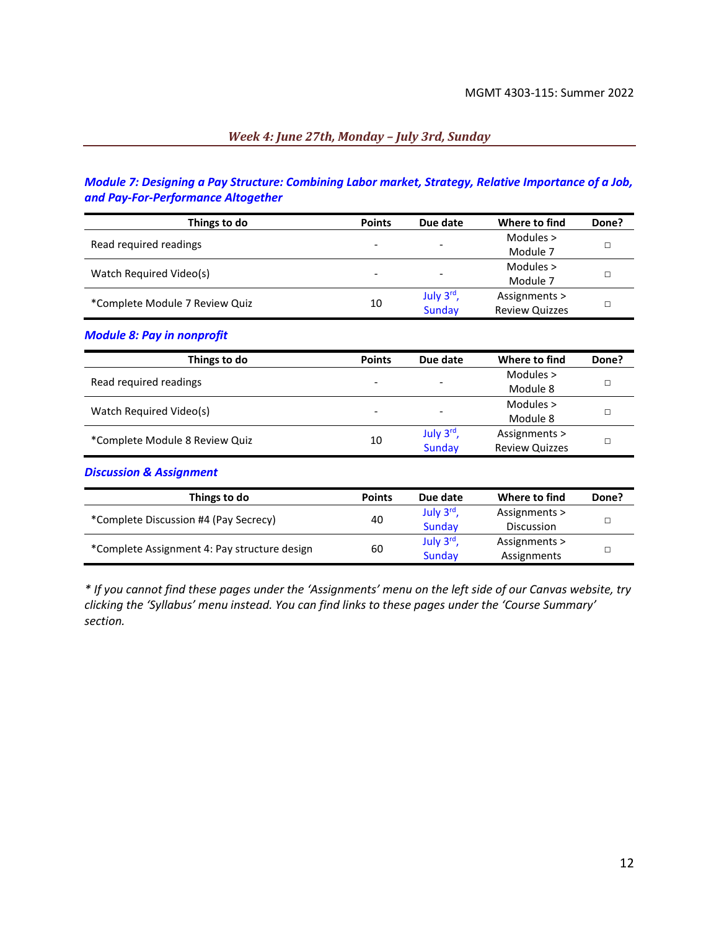#### *Week 4: June 27th, Monday – July 3rd, Sunday*

## *Module 7: Designing a Pay Structure: Combining Labor market, Strategy, Relative Importance of a Job, and Pay-For-Performance Altogether*

| Things to do                   | <b>Points</b>            | Due date                 | Where to find         | Done? |
|--------------------------------|--------------------------|--------------------------|-----------------------|-------|
| Read required readings         |                          |                          | Modules $>$           |       |
|                                | $\overline{\phantom{a}}$ | $\overline{\phantom{0}}$ | Module 7              |       |
| Watch Required Video(s)        |                          |                          | Modules $>$           |       |
|                                | $\overline{\phantom{a}}$ | $\overline{\phantom{0}}$ | Module 7              |       |
|                                |                          | July 3rd,                | Assignments >         |       |
| *Complete Module 7 Review Quiz | 10                       | <b>Sunday</b>            | <b>Review Quizzes</b> |       |

#### *Module 8: Pay in nonprofit*

| Things to do                   | <b>Points</b> | Due date  | Where to find         | Done? |
|--------------------------------|---------------|-----------|-----------------------|-------|
| Read required readings         | ۰             | -         | Modules $>$           |       |
|                                |               |           | Module 8              |       |
|                                |               |           | Modules $>$           |       |
| Watch Required Video(s)        |               | ٠         | Module 8              |       |
|                                |               | July 3rd, | Assignments >         |       |
| *Complete Module 8 Review Quiz | 10            | Sunday    | <b>Review Quizzes</b> |       |

#### *Discussion & Assignment*

| Things to do                                 | <b>Points</b> | Due date  | Where to find     | Done? |
|----------------------------------------------|---------------|-----------|-------------------|-------|
| *Complete Discussion #4 (Pay Secrecy)        | 40            | July 3rd, | Assignments >     |       |
|                                              |               | Sunday    | <b>Discussion</b> |       |
| *Complete Assignment 4: Pay structure design |               | July 3rd  | Assignments >     |       |
|                                              | 60            | Sunday    | Assignments       |       |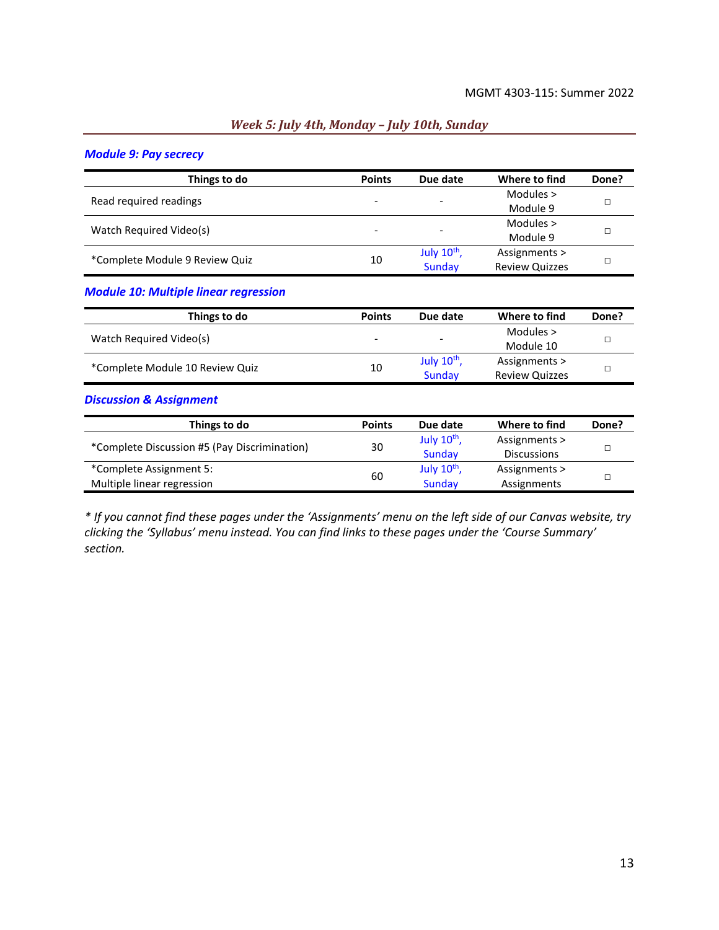#### *Week 5: July 4th, Monday – July 10th, Sunday*

#### *Module 9: Pay secrecy*

| Things to do                   | <b>Points</b>            | Due date                 | Where to find         | Done? |
|--------------------------------|--------------------------|--------------------------|-----------------------|-------|
| Read required readings         |                          |                          | Modules $>$           |       |
|                                | $\overline{\phantom{0}}$ | $\overline{\phantom{a}}$ | Module 9              |       |
|                                |                          |                          | Modules $>$           |       |
| Watch Required Video(s)        | $\overline{\phantom{0}}$ | $\overline{\phantom{0}}$ | Module 9              |       |
| *Complete Module 9 Review Quiz |                          | July $10^{th}$ ,         | Assignments >         |       |
|                                | 10                       | Sunday                   | <b>Review Quizzes</b> |       |

#### *Module 10: Multiple linear regression*

| Things to do                    | <b>Points</b> | Due date                | Where to find         | Done? |
|---------------------------------|---------------|-------------------------|-----------------------|-------|
| Watch Required Video(s)         | -             | -                       | Modules $>$           |       |
|                                 |               |                         | Module 10             |       |
|                                 |               | July $10^{\text{th}}$ , | Assignments >         |       |
| *Complete Module 10 Review Quiz | 10            | Sunday                  | <b>Review Quizzes</b> |       |

#### *Discussion & Assignment*

| Things to do                                 | <b>Points</b> | Due date                | Where to find      | Done? |
|----------------------------------------------|---------------|-------------------------|--------------------|-------|
| *Complete Discussion #5 (Pay Discrimination) | 30            | July $10^{\text{th}}$ , | Assignments >      |       |
|                                              |               | Sunday                  | <b>Discussions</b> |       |
| *Complete Assignment 5:                      |               | July $10^{\text{th}}$ , | Assignments >      |       |
| Multiple linear regression                   | 60            | Sunday                  | Assignments        |       |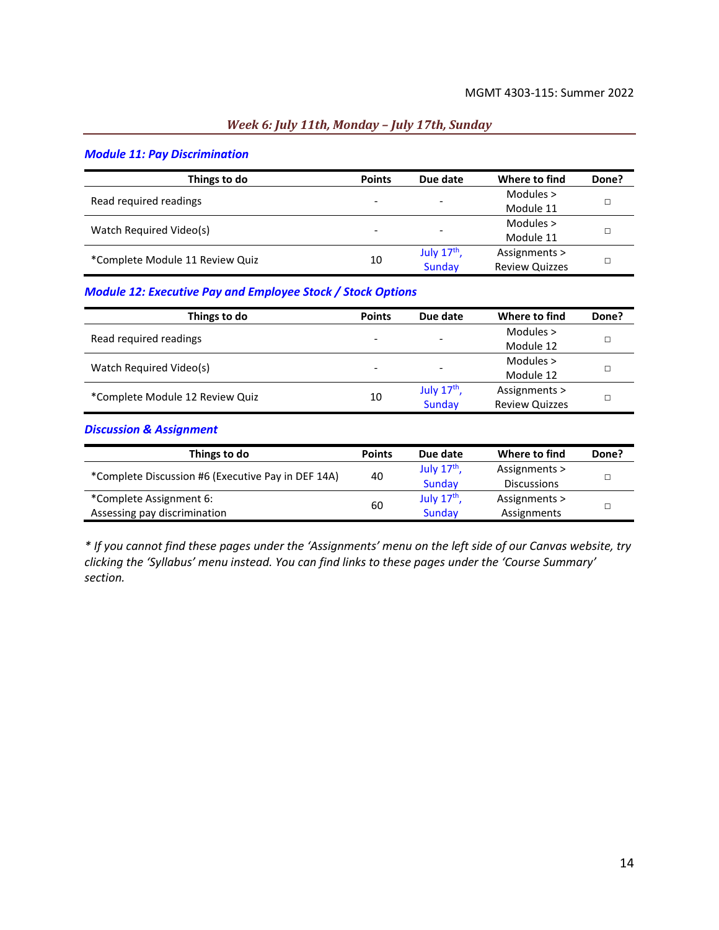### *Week 6: July 11th, Monday – July 17th, Sunday*

#### *Module 11: Pay Discrimination*

| Things to do                    | <b>Points</b> | Due date                 | Where to find         | Done? |
|---------------------------------|---------------|--------------------------|-----------------------|-------|
| Read required readings          |               |                          | Modules $>$           |       |
|                                 | -             | $\overline{\phantom{a}}$ | Module 11             |       |
| Watch Required Video(s)         | -             | $\overline{\phantom{a}}$ | Modules $>$           |       |
|                                 |               |                          | Module 11             |       |
| *Complete Module 11 Review Quiz | 10            | July $17th$ ,            | Assignments >         |       |
|                                 |               | Sunday                   | <b>Review Quizzes</b> |       |

## *Module 12: Executive Pay and Employee Stock / Stock Options*

| Things to do                    | <b>Points</b> | Due date                 | Where to find         | Done? |
|---------------------------------|---------------|--------------------------|-----------------------|-------|
| Read required readings          |               |                          | Modules $>$           |       |
|                                 |               | $\overline{\phantom{a}}$ | Module 12             |       |
|                                 |               |                          | Modules $>$           |       |
| Watch Required Video(s)         |               | $\overline{\phantom{a}}$ | Module 12             |       |
|                                 |               | July $17th$ ,            | Assignments >         |       |
| *Complete Module 12 Review Quiz | 10            | Sunday                   | <b>Review Quizzes</b> |       |

#### *Discussion & Assignment*

| Things to do                                       | <b>Points</b> | Due date      | Where to find      | Done? |
|----------------------------------------------------|---------------|---------------|--------------------|-------|
| *Complete Discussion #6 (Executive Pay in DEF 14A) | 40            | July $17th$ , | Assignments >      |       |
|                                                    |               | Sunday        | <b>Discussions</b> |       |
| *Complete Assignment 6:                            |               | July $17th$   | Assignments >      |       |
| Assessing pay discrimination                       | 60            | Sunday        | Assignments        |       |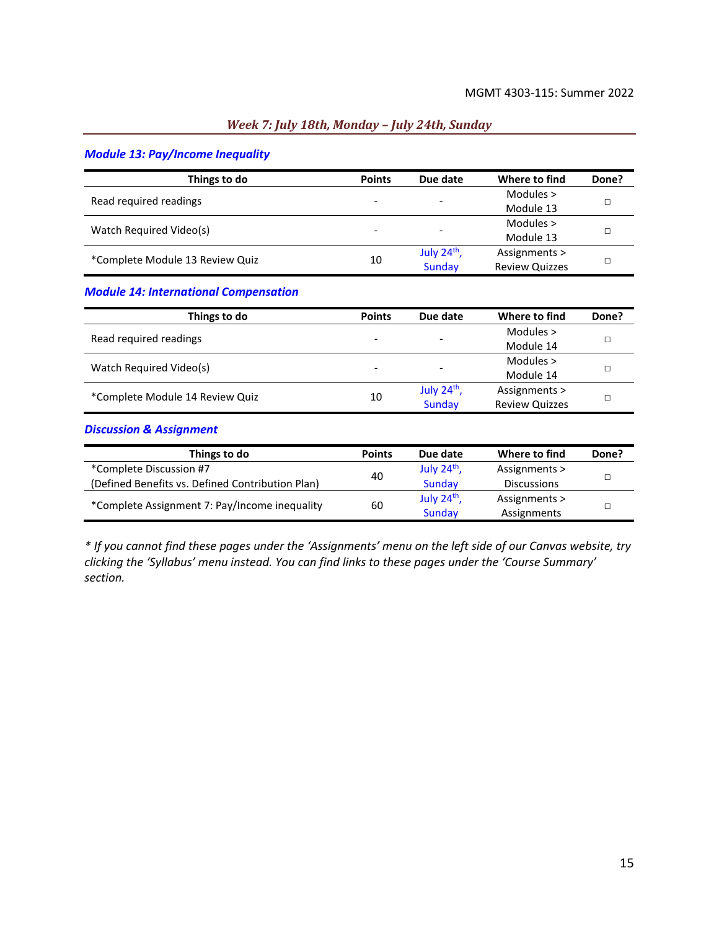## *Week 7: July 18th, Monday – July 24th, Sunday*

## *Module 13: Pay/Income Inequality*

| Things to do                    | <b>Points</b>            | Due date                 | Where to find         | Done? |
|---------------------------------|--------------------------|--------------------------|-----------------------|-------|
| Read required readings          |                          |                          | Modules $>$           |       |
|                                 | $\overline{\phantom{a}}$ | $\overline{\phantom{a}}$ | Module 13             |       |
|                                 |                          |                          | Modules $>$           |       |
| Watch Required Video(s)         | $\overline{\phantom{a}}$ | $\overline{\phantom{a}}$ | Module 13             |       |
| *Complete Module 13 Review Quiz | 10                       | July $24th$ ,            | Assignments >         |       |
|                                 |                          | Sunday                   | <b>Review Quizzes</b> |       |

## *Module 14: International Compensation*

| Things to do                    | <b>Points</b> | Due date                 | Where to find         | Done? |
|---------------------------------|---------------|--------------------------|-----------------------|-------|
| Read required readings          |               |                          | Modules $>$           |       |
|                                 |               | $\overline{\phantom{a}}$ | Module 14             |       |
|                                 |               |                          | Modules $>$           |       |
| Watch Required Video(s)         |               | ۰                        | Module 14             |       |
|                                 |               | July $24th$ ,            | Assignments >         |       |
| *Complete Module 14 Review Quiz | 10            | Sunday                   | <b>Review Quizzes</b> |       |

#### *Discussion & Assignment*

| Things to do                                     | <b>Points</b> | Due date         | Where to find      | Done? |
|--------------------------------------------------|---------------|------------------|--------------------|-------|
| *Complete Discussion #7                          | 40            | July $24th$ ,    | Assignments >      |       |
| (Defined Benefits vs. Defined Contribution Plan) |               | Sunday           | <b>Discussions</b> |       |
|                                                  |               | July $24^{th}$ , | Assignments >      |       |
| *Complete Assignment 7: Pay/Income inequality    | 60            | Sunday           | Assignments        |       |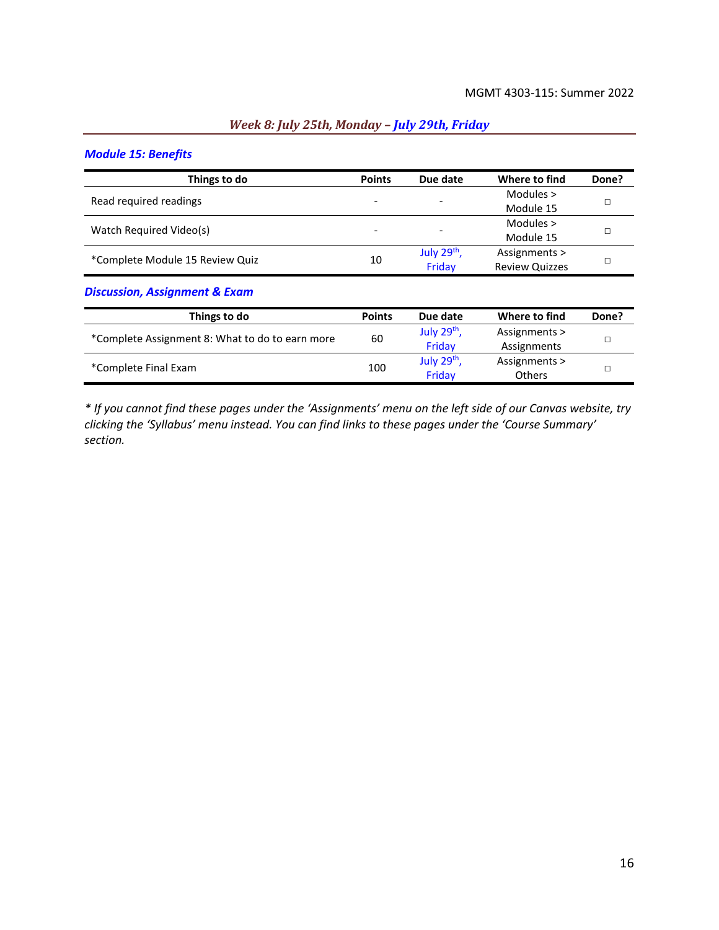# *Module 15: Benefits*

| Things to do                    | <b>Points</b> | Due date                 | Where to find         | Done? |
|---------------------------------|---------------|--------------------------|-----------------------|-------|
| Read required readings          |               |                          | Modules $>$           |       |
|                                 |               | $\overline{\phantom{0}}$ | Module 15             |       |
|                                 |               |                          | Modules $>$           |       |
| Watch Required Video(s)         |               | $\overline{\phantom{a}}$ | Module 15             |       |
| *Complete Module 15 Review Quiz |               | July 29 <sup>th</sup> ,  | Assignments >         |       |
|                                 | 10            | Friday                   | <b>Review Quizzes</b> |       |

*Week 8: July 25th, Monday – July 29th, Friday*

#### *Discussion, Assignment & Exam*

| Things to do                                    | <b>Points</b> | Due date      | Where to find | Done? |  |
|-------------------------------------------------|---------------|---------------|---------------|-------|--|
| *Complete Assignment 8: What to do to earn more | 60            | July $29th$ , | Assignments > |       |  |
|                                                 |               | Friday        | Assignments   |       |  |
|                                                 | 100           | July 29th,    | Assignments > |       |  |
| *Complete Final Exam                            |               | Fridav        | <b>Others</b> |       |  |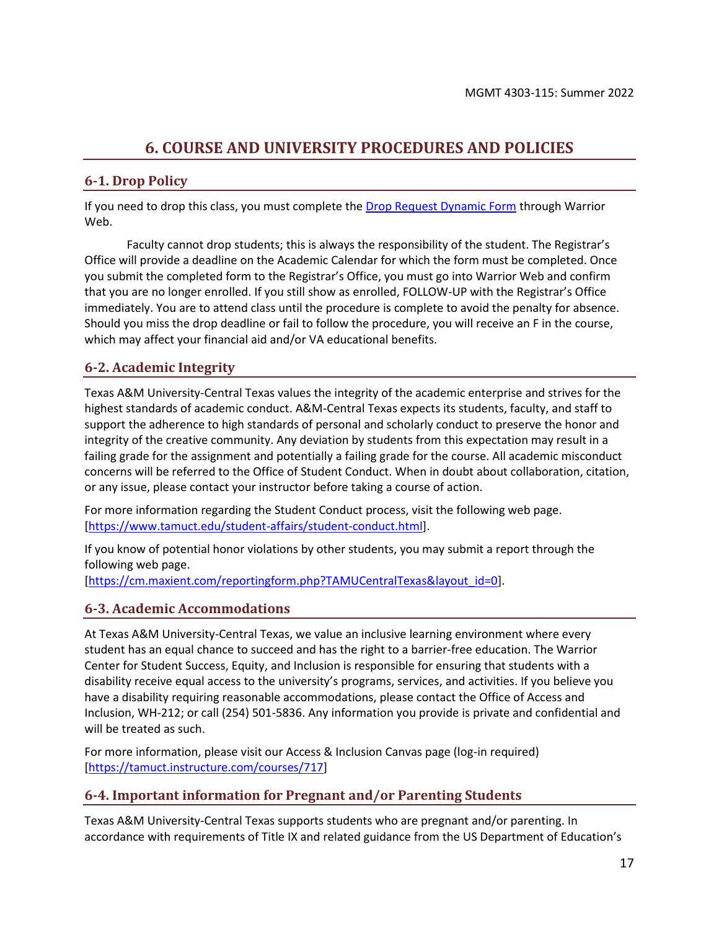## **6. COURSE AND UNIVERSITY PROCEDURES AND POLICIES**

## <span id="page-16-0"></span>**6-1. Drop Policy**

If you need to drop this class, you must complete th[e Drop Request Dynamic Form](https://federation.ngwebsolutions.com/sp/startSSO.ping?PartnerIdpId=https://eis-prod.ec.tamuct.edu:443/samlsso&SpSessionAuthnAdapterId=tamuctDF&TargetResource=https%3a%2f%2fdynamicforms.ngwebsolutions.com%2fSubmit%2fStart%2f53b8369e-0502-4f36-be43-f02a4202f612) through Warrior Web.

Faculty cannot drop students; this is always the responsibility of the student. The Registrar's Office will provide a deadline on the Academic Calendar for which the form must be completed. Once you submit the completed form to the Registrar's Office, you must go into Warrior Web and confirm that you are no longer enrolled. If you still show as enrolled, FOLLOW-UP with the Registrar's Office immediately. You are to attend class until the procedure is complete to avoid the penalty for absence. Should you miss the drop deadline or fail to follow the procedure, you will receive an F in the course, which may affect your financial aid and/or VA educational benefits.

## **6-2. Academic Integrity**

Texas A&M University-Central Texas values the integrity of the academic enterprise and strives for the highest standards of academic conduct. A&M-Central Texas expects its students, faculty, and staff to support the adherence to high standards of personal and scholarly conduct to preserve the honor and integrity of the creative community. Any deviation by students from this expectation may result in a failing grade for the assignment and potentially a failing grade for the course. All academic misconduct concerns will be referred to the Office of Student Conduct. When in doubt about collaboration, citation, or any issue, please contact your instructor before taking a course of action.

For more information regarding the Student Conduct process, visit the following web page. [\[https://www.tamuct.edu/student-affairs/student-conduct.html\]](https://www.tamuct.edu/student-affairs/student-conduct.html).

If you know of potential honor violations by other students, you may submit a report through the following web page.

[\[https://cm.maxient.com/reportingform.php?TAMUCentralTexas&layout\\_id=0\]](https://cm.maxient.com/reportingform.php?TAMUCentralTexas&layout_id=0).

## **6-3. Academic Accommodations**

At Texas A&M University-Central Texas, we value an inclusive learning environment where every student has an equal chance to succeed and has the right to a barrier-free education. The Warrior Center for Student Success, Equity, and Inclusion is responsible for ensuring that students with a disability receive equal access to the university's programs, services, and activities. If you believe you have a disability requiring reasonable accommodations, please contact the Office of Access and Inclusion, WH-212; or call (254) 501-5836. Any information you provide is private and confidential and will be treated as such.

For more information, please visit our Access & Inclusion Canvas page (log-in required) [\[https://tamuct.instructure.com/courses/717\]](https://tamuct.instructure.com/courses/717)

## **6-4. Important information for Pregnant and/or Parenting Students**

Texas A&M University-Central Texas supports students who are pregnant and/or parenting. In accordance with requirements of Title IX and related guidance from the US Department of Education's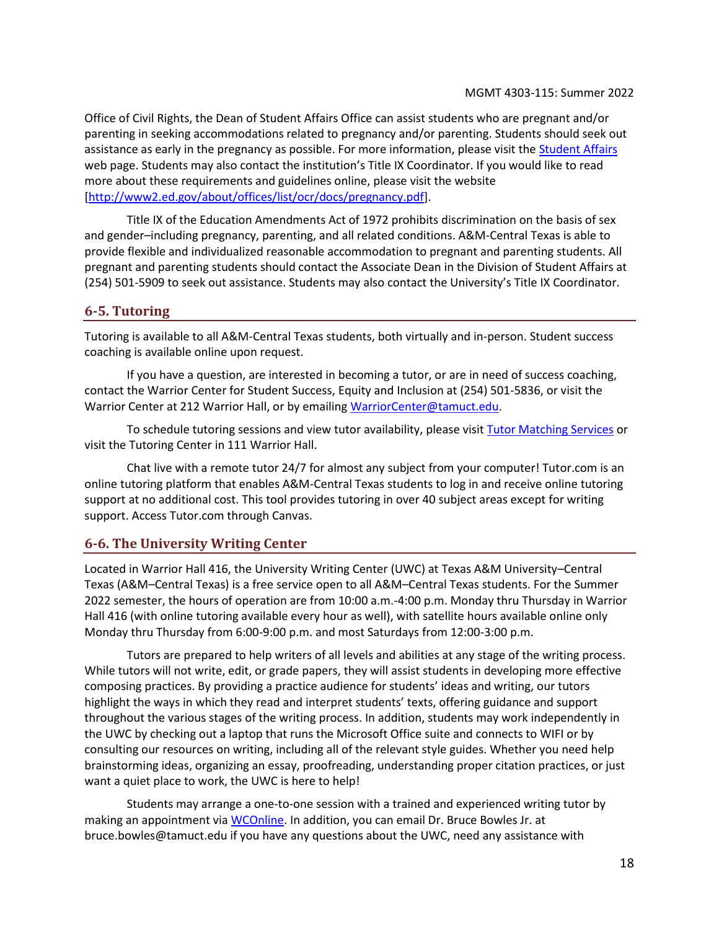Office of Civil Rights, the Dean of Student Affairs Office can assist students who are pregnant and/or parenting in seeking accommodations related to pregnancy and/or parenting. Students should seek out assistance as early in the pregnancy as possible. For more information, please visit the [Student Affairs](https://www.tamuct.edu/student-affairs/index.html) web page. Students may also contact the institution's Title IX Coordinator. If you would like to read more about these requirements and guidelines online, please visit the website [\[http://www2.ed.gov/about/offices/list/ocr/docs/pregnancy.pdf\]](http://www2.ed.gov/about/offices/list/ocr/docs/pregnancy.pdf).

Title IX of the Education Amendments Act of 1972 prohibits discrimination on the basis of sex and gender–including pregnancy, parenting, and all related conditions. A&M-Central Texas is able to provide flexible and individualized reasonable accommodation to pregnant and parenting students. All pregnant and parenting students should contact the Associate Dean in the Division of Student Affairs at (254) 501-5909 to seek out assistance. Students may also contact the University's Title IX Coordinator.

## **6-5. Tutoring**

Tutoring is available to all A&M-Central Texas students, both virtually and in-person. Student success coaching is available online upon request.

If you have a question, are interested in becoming a tutor, or are in need of success coaching, contact the Warrior Center for Student Success, Equity and Inclusion at (254) 501-5836, or visit the Warrior Center at 212 Warrior Hall, or by emailing [WarriorCenter@tamuct.edu.](mailto:WarriorCenter@tamuct.edu)

To schedule tutoring sessions and view tutor availability, please visi[t Tutor Matching Services](https://tutormatchingservice.com/TAMUCT) or visit the Tutoring Center in 111 Warrior Hall.

Chat live with a remote tutor 24/7 for almost any subject from your computer! Tutor.com is an online tutoring platform that enables A&M-Central Texas students to log in and receive online tutoring support at no additional cost. This tool provides tutoring in over 40 subject areas except for writing support. Access Tutor.com through Canvas.

## **6-6. The University Writing Center**

Located in Warrior Hall 416, the University Writing Center (UWC) at Texas A&M University–Central Texas (A&M–Central Texas) is a free service open to all A&M–Central Texas students. For the Summer 2022 semester, the hours of operation are from 10:00 a.m.-4:00 p.m. Monday thru Thursday in Warrior Hall 416 (with online tutoring available every hour as well), with satellite hours available online only Monday thru Thursday from 6:00-9:00 p.m. and most Saturdays from 12:00-3:00 p.m.

Tutors are prepared to help writers of all levels and abilities at any stage of the writing process. While tutors will not write, edit, or grade papers, they will assist students in developing more effective composing practices. By providing a practice audience for students' ideas and writing, our tutors highlight the ways in which they read and interpret students' texts, offering guidance and support throughout the various stages of the writing process. In addition, students may work independently in the UWC by checking out a laptop that runs the Microsoft Office suite and connects to WIFI or by consulting our resources on writing, including all of the relevant style guides. Whether you need help brainstorming ideas, organizing an essay, proofreading, understanding proper citation practices, or just want a quiet place to work, the UWC is here to help!

Students may arrange a one-to-one session with a trained and experienced writing tutor by making an appointment vi[a WCOnline.](https://tamuct.mywconline.com/) In addition, you can email Dr. Bruce Bowles Jr. at bruce.bowles@tamuct.edu if you have any questions about the UWC, need any assistance with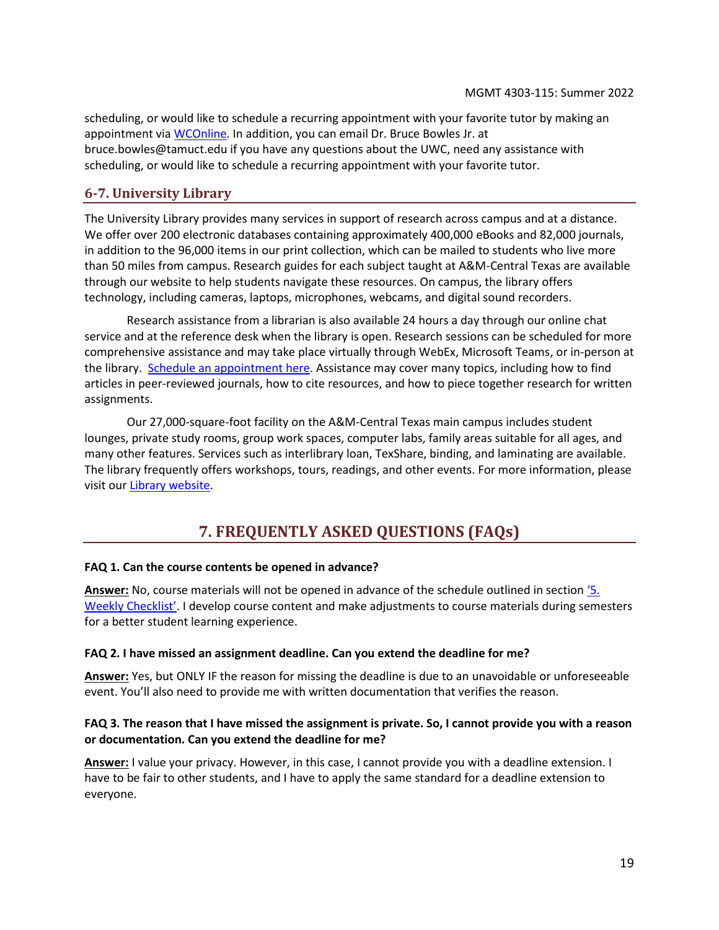scheduling, or would like to schedule a recurring appointment with your favorite tutor by making an appointment via [WCOnline.](https://tamuct.mywconline.com/) In addition, you can email Dr. Bruce Bowles Jr. at bruce.bowles@tamuct.edu if you have any questions about the UWC, need any assistance with scheduling, or would like to schedule a recurring appointment with your favorite tutor.

## **6-7. University Library**

The University Library provides many services in support of research across campus and at a distance. We offer over 200 electronic databases containing approximately 400,000 eBooks and 82,000 journals, in addition to the 96,000 items in our print collection, which can be mailed to students who live more than 50 miles from campus. Research guides for each subject taught at A&M-Central Texas are available through our website to help students navigate these resources. On campus, the library offers technology, including cameras, laptops, microphones, webcams, and digital sound recorders.

Research assistance from a librarian is also available 24 hours a day through our online chat service and at the reference desk when the library is open. Research sessions can be scheduled for more comprehensive assistance and may take place virtually through WebEx, Microsoft Teams, or in-person at the library. [Schedule an appointment here.](https://tamuct.libcal.com/appointments/?g=6956) Assistance may cover many topics, including how to find articles in peer-reviewed journals, how to cite resources, and how to piece together research for written assignments.

Our 27,000-square-foot facility on the A&M-Central Texas main campus includes student lounges, private study rooms, group work spaces, computer labs, family areas suitable for all ages, and many other features. Services such as interlibrary loan, TexShare, binding, and laminating are available. The library frequently offers workshops, tours, readings, and other events. For more information, please visit ou[r Library website.](http://tamuct.libguides.com/index)

## **7. FREQUENTLY ASKED QUESTIONS (FAQs)**

#### <span id="page-18-0"></span>**FAQ 1. Can the course contents be opened in advance?**

**Answer:** No, course materials will not be opened in advance of the schedule outlined in section ['5](#page-7-0). [Weekly Checklist'](#page-7-0). I develop course content and make adjustments to course materials during semesters for a better student learning experience.

#### **FAQ 2. I have missed an assignment deadline. Can you extend the deadline for me?**

**Answer:** Yes, but ONLY IF the reason for missing the deadline is due to an unavoidable or unforeseeable event. You'll also need to provide me with written documentation that verifies the reason.

#### **FAQ 3. The reason that I have missed the assignment is private. So, I cannot provide you with a reason or documentation. Can you extend the deadline for me?**

**Answer:** I value your privacy. However, in this case, I cannot provide you with a deadline extension. I have to be fair to other students, and I have to apply the same standard for a deadline extension to everyone.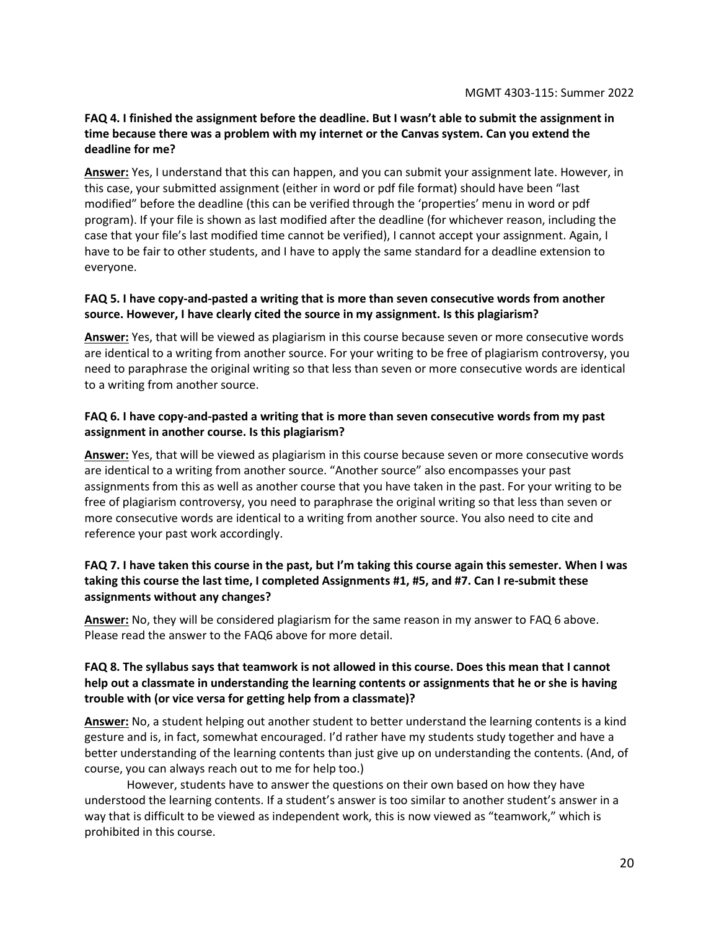#### **FAQ 4. I finished the assignment before the deadline. But I wasn't able to submit the assignment in time because there was a problem with my internet or the Canvas system. Can you extend the deadline for me?**

**Answer:** Yes, I understand that this can happen, and you can submit your assignment late. However, in this case, your submitted assignment (either in word or pdf file format) should have been "last modified" before the deadline (this can be verified through the 'properties' menu in word or pdf program). If your file is shown as last modified after the deadline (for whichever reason, including the case that your file's last modified time cannot be verified), I cannot accept your assignment. Again, I have to be fair to other students, and I have to apply the same standard for a deadline extension to everyone.

## **FAQ 5. I have copy-and-pasted a writing that is more than seven consecutive words from another source. However, I have clearly cited the source in my assignment. Is this plagiarism?**

**Answer:** Yes, that will be viewed as plagiarism in this course because seven or more consecutive words are identical to a writing from another source. For your writing to be free of plagiarism controversy, you need to paraphrase the original writing so that less than seven or more consecutive words are identical to a writing from another source.

## **FAQ 6. I have copy-and-pasted a writing that is more than seven consecutive words from my past assignment in another course. Is this plagiarism?**

**Answer:** Yes, that will be viewed as plagiarism in this course because seven or more consecutive words are identical to a writing from another source. "Another source" also encompasses your past assignments from this as well as another course that you have taken in the past. For your writing to be free of plagiarism controversy, you need to paraphrase the original writing so that less than seven or more consecutive words are identical to a writing from another source. You also need to cite and reference your past work accordingly.

## **FAQ 7. I have taken this course in the past, but I'm taking this course again this semester. When I was taking this course the last time, I completed Assignments #1, #5, and #7. Can I re-submit these assignments without any changes?**

**Answer:** No, they will be considered plagiarism for the same reason in my answer to FAQ 6 above. Please read the answer to the FAQ6 above for more detail.

#### **FAQ 8. The syllabus says that teamwork is not allowed in this course. Does this mean that I cannot help out a classmate in understanding the learning contents or assignments that he or she is having trouble with (or vice versa for getting help from a classmate)?**

**Answer:** No, a student helping out another student to better understand the learning contents is a kind gesture and is, in fact, somewhat encouraged. I'd rather have my students study together and have a better understanding of the learning contents than just give up on understanding the contents. (And, of course, you can always reach out to me for help too.)

However, students have to answer the questions on their own based on how they have understood the learning contents. If a student's answer is too similar to another student's answer in a way that is difficult to be viewed as independent work, this is now viewed as "teamwork," which is prohibited in this course.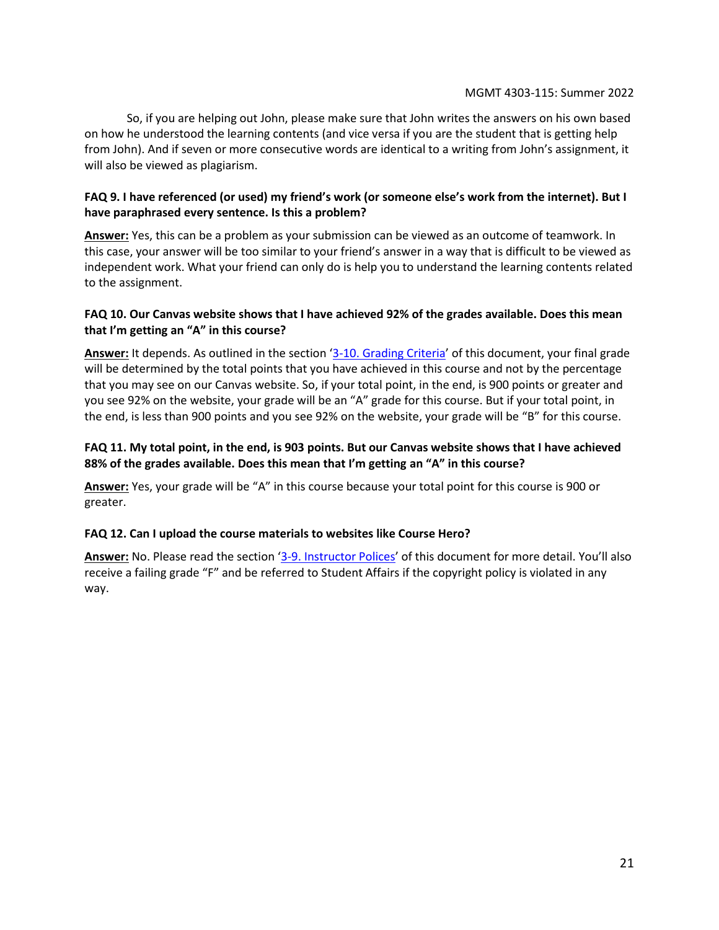So, if you are helping out John, please make sure that John writes the answers on his own based on how he understood the learning contents (and vice versa if you are the student that is getting help from John). And if seven or more consecutive words are identical to a writing from John's assignment, it will also be viewed as plagiarism.

## **FAQ 9. I have referenced (or used) my friend's work (or someone else's work from the internet). But I have paraphrased every sentence. Is this a problem?**

**Answer:** Yes, this can be a problem as your submission can be viewed as an outcome of teamwork. In this case, your answer will be too similar to your friend's answer in a way that is difficult to be viewed as independent work. What your friend can only do is help you to understand the learning contents related to the assignment.

## **FAQ 10. Our Canvas website shows that I have achieved 92% of the grades available. Does this mean that I'm getting an "A" in this course?**

**Answer:** It depends. As outlined in the section '[3-10. Grading Criteria](#page-6-2)' of this document, your final grade will be determined by the total points that you have achieved in this course and not by the percentage that you may see on our Canvas website. So, if your total point, in the end, is 900 points or greater and you see 92% on the website, your grade will be an "A" grade for this course. But if your total point, in the end, is less than 900 points and you see 92% on the website, your grade will be "B" for this course.

## **FAQ 11. My total point, in the end, is 903 points. But our Canvas website shows that I have achieved 88% of the grades available. Does this mean that I'm getting an "A" in this course?**

**Answer:** Yes, your grade will be "A" in this course because your total point for this course is 900 or greater.

## **FAQ 12. Can I upload the course materials to websites like Course Hero?**

**Answer:** No. Please read the section '[3-9. Instructor Polices](#page-4-1)' of this document for more detail. You'll also receive a failing grade "F" and be referred to Student Affairs if the copyright policy is violated in any way.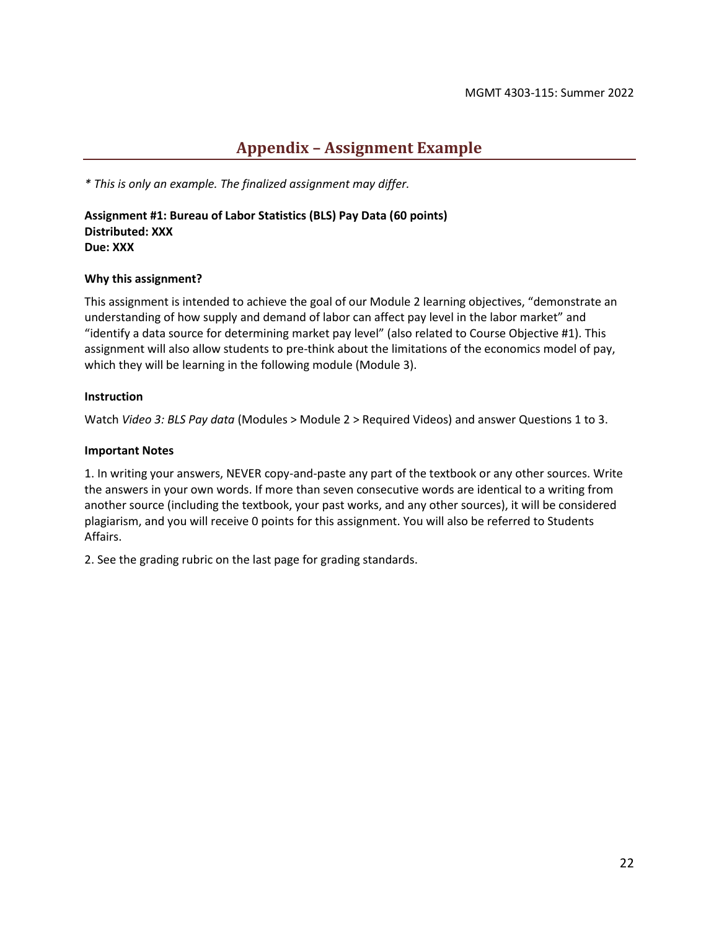## **Appendix – Assignment Example**

<span id="page-21-0"></span>*\* This is only an example. The finalized assignment may differ.*

**Assignment #1: Bureau of Labor Statistics (BLS) Pay Data (60 points) Distributed: XXX Due: XXX**

#### **Why this assignment?**

This assignment is intended to achieve the goal of our Module 2 learning objectives, "demonstrate an understanding of how supply and demand of labor can affect pay level in the labor market" and "identify a data source for determining market pay level" (also related to Course Objective #1). This assignment will also allow students to pre-think about the limitations of the economics model of pay, which they will be learning in the following module (Module 3).

#### **Instruction**

Watch *Video 3: BLS Pay data* (Modules > Module 2 > Required Videos) and answer Questions 1 to 3.

## **Important Notes**

1. In writing your answers, NEVER copy-and-paste any part of the textbook or any other sources. Write the answers in your own words. If more than seven consecutive words are identical to a writing from another source (including the textbook, your past works, and any other sources), it will be considered plagiarism, and you will receive 0 points for this assignment. You will also be referred to Students Affairs.

2. See the grading rubric on the last page for grading standards.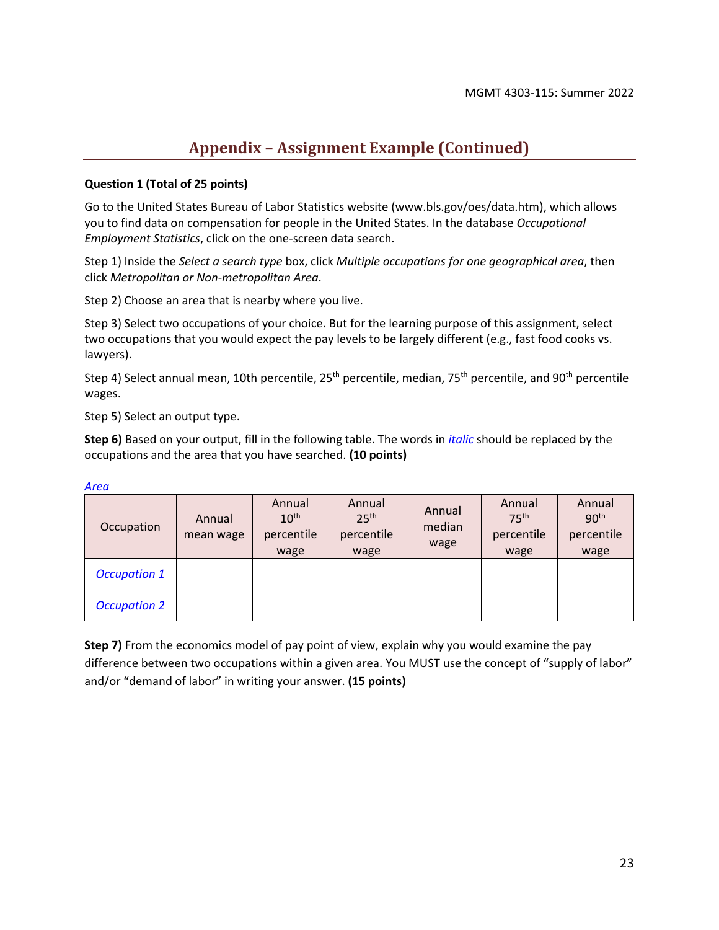## **Appendix – Assignment Example (Continued)**

## **Question 1 (Total of 25 points)**

Go to the United States Bureau of Labor Statistics website (www.bls.gov/oes/data.htm), which allows you to find data on compensation for people in the United States. In the database *Occupational Employment Statistics*, click on the one-screen data search.

Step 1) Inside the *Select a search type* box, click *Multiple occupations for one geographical area*, then click *Metropolitan or Non-metropolitan Area*.

Step 2) Choose an area that is nearby where you live.

Step 3) Select two occupations of your choice. But for the learning purpose of this assignment, select two occupations that you would expect the pay levels to be largely different (e.g., fast food cooks vs. lawyers).

Step 4) Select annual mean, 10th percentile, 25<sup>th</sup> percentile, median, 75<sup>th</sup> percentile, and 90<sup>th</sup> percentile wages.

Step 5) Select an output type.

**Step 6)** Based on your output, fill in the following table. The words in *italic* should be replaced by the occupations and the area that you have searched. **(10 points)**

| Occupation          | Annual<br>mean wage | Annual<br>10 <sup>th</sup><br>percentile<br>wage | Annual<br>25 <sup>th</sup><br>percentile<br>wage | Annual<br>median<br>wage | Annual<br>75 <sup>th</sup><br>percentile<br>wage | Annual<br>90 <sup>th</sup><br>percentile<br>wage |
|---------------------|---------------------|--------------------------------------------------|--------------------------------------------------|--------------------------|--------------------------------------------------|--------------------------------------------------|
| <b>Occupation 1</b> |                     |                                                  |                                                  |                          |                                                  |                                                  |
| <b>Occupation 2</b> |                     |                                                  |                                                  |                          |                                                  |                                                  |

*Area*

**Step 7)** From the economics model of pay point of view, explain why you would examine the pay difference between two occupations within a given area. You MUST use the concept of "supply of labor" and/or "demand of labor" in writing your answer. **(15 points)**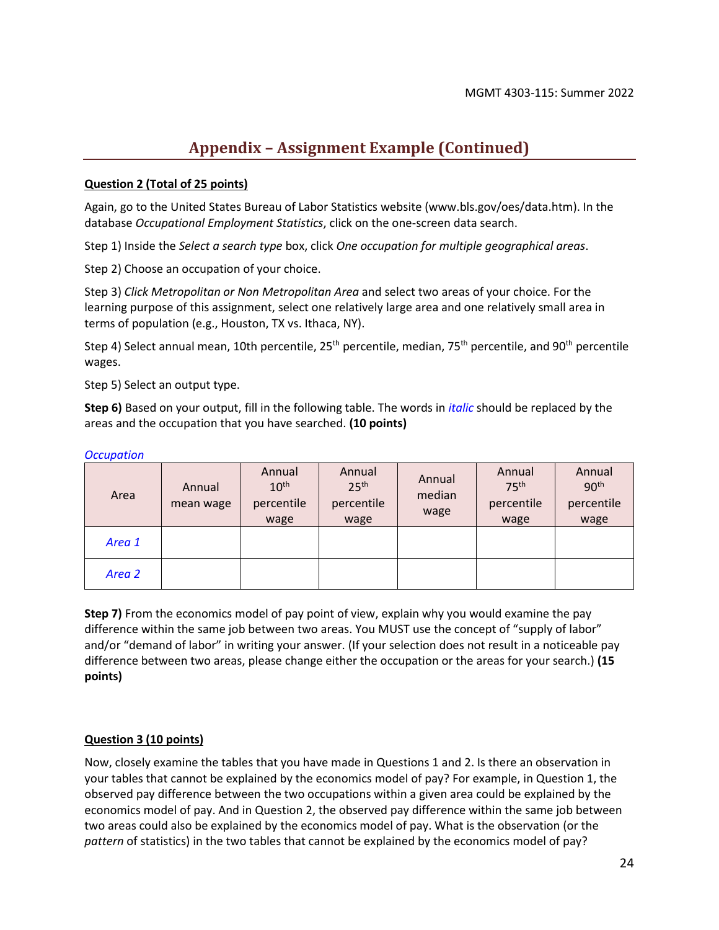## **Appendix – Assignment Example (Continued)**

## **Question 2 (Total of 25 points)**

Again, go to the United States Bureau of Labor Statistics website (www.bls.gov/oes/data.htm). In the database *Occupational Employment Statistics*, click on the one-screen data search.

Step 1) Inside the *Select a search type* box, click *One occupation for multiple geographical areas*.

Step 2) Choose an occupation of your choice.

Step 3) *Click Metropolitan or Non Metropolitan Area* and select two areas of your choice. For the learning purpose of this assignment, select one relatively large area and one relatively small area in terms of population (e.g., Houston, TX vs. Ithaca, NY).

Step 4) Select annual mean, 10th percentile, 25<sup>th</sup> percentile, median, 75<sup>th</sup> percentile, and 90<sup>th</sup> percentile wages.

Step 5) Select an output type.

**Step 6)** Based on your output, fill in the following table. The words in *italic* should be replaced by the areas and the occupation that you have searched. **(10 points)**

| Area   | Annual<br>mean wage | Annual<br>10 <sup>th</sup><br>percentile<br>wage | Annual<br>25 <sup>th</sup><br>percentile<br>wage | Annual<br>median<br>wage | Annual<br>75 <sup>th</sup><br>percentile<br>wage | Annual<br>90 <sup>th</sup><br>percentile<br>wage |
|--------|---------------------|--------------------------------------------------|--------------------------------------------------|--------------------------|--------------------------------------------------|--------------------------------------------------|
| Area 1 |                     |                                                  |                                                  |                          |                                                  |                                                  |
| Area 2 |                     |                                                  |                                                  |                          |                                                  |                                                  |

#### *Occupation*

**Step 7)** From the economics model of pay point of view, explain why you would examine the pay difference within the same job between two areas. You MUST use the concept of "supply of labor" and/or "demand of labor" in writing your answer. (If your selection does not result in a noticeable pay difference between two areas, please change either the occupation or the areas for your search.) **(15 points)**

## **Question 3 (10 points)**

Now, closely examine the tables that you have made in Questions 1 and 2. Is there an observation in your tables that cannot be explained by the economics model of pay? For example, in Question 1, the observed pay difference between the two occupations within a given area could be explained by the economics model of pay. And in Question 2, the observed pay difference within the same job between two areas could also be explained by the economics model of pay. What is the observation (or the *pattern* of statistics) in the two tables that cannot be explained by the economics model of pay?